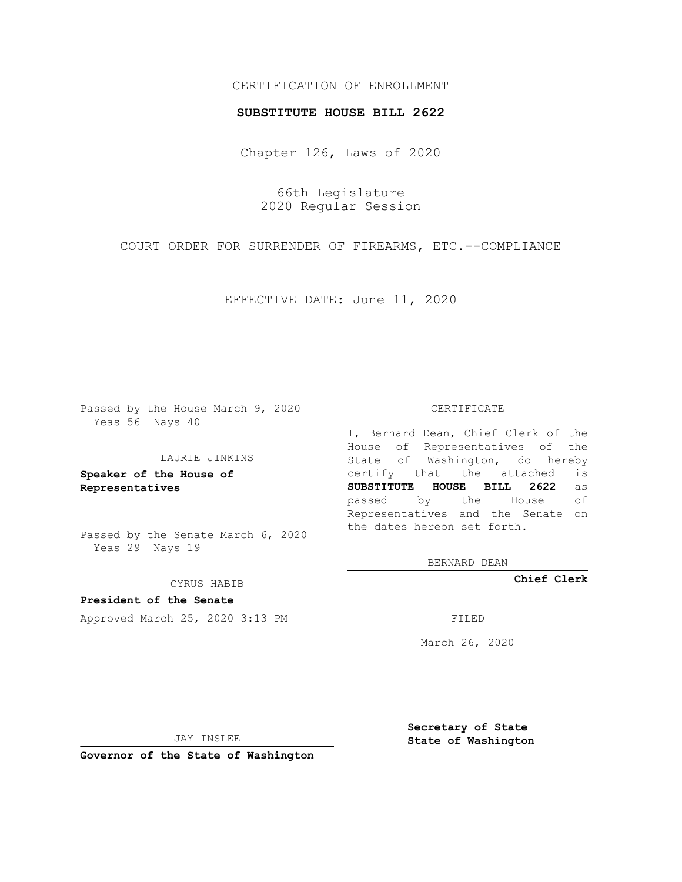## CERTIFICATION OF ENROLLMENT

### **SUBSTITUTE HOUSE BILL 2622**

Chapter 126, Laws of 2020

66th Legislature 2020 Regular Session

COURT ORDER FOR SURRENDER OF FIREARMS, ETC.--COMPLIANCE

EFFECTIVE DATE: June 11, 2020

Passed by the House March 9, 2020 Yeas 56 Nays 40

#### LAURIE JINKINS

**Speaker of the House of Representatives**

Passed by the Senate March 6, 2020 Yeas 29 Nays 19

#### CYRUS HABIB

**President of the Senate** Approved March 25, 2020 3:13 PM FILED

#### CERTIFICATE

I, Bernard Dean, Chief Clerk of the House of Representatives of the State of Washington, do hereby certify that the attached is **SUBSTITUTE HOUSE BILL 2622** as passed by the House of Representatives and the Senate on the dates hereon set forth.

BERNARD DEAN

**Chief Clerk**

March 26, 2020

JAY INSLEE

**Governor of the State of Washington**

**Secretary of State State of Washington**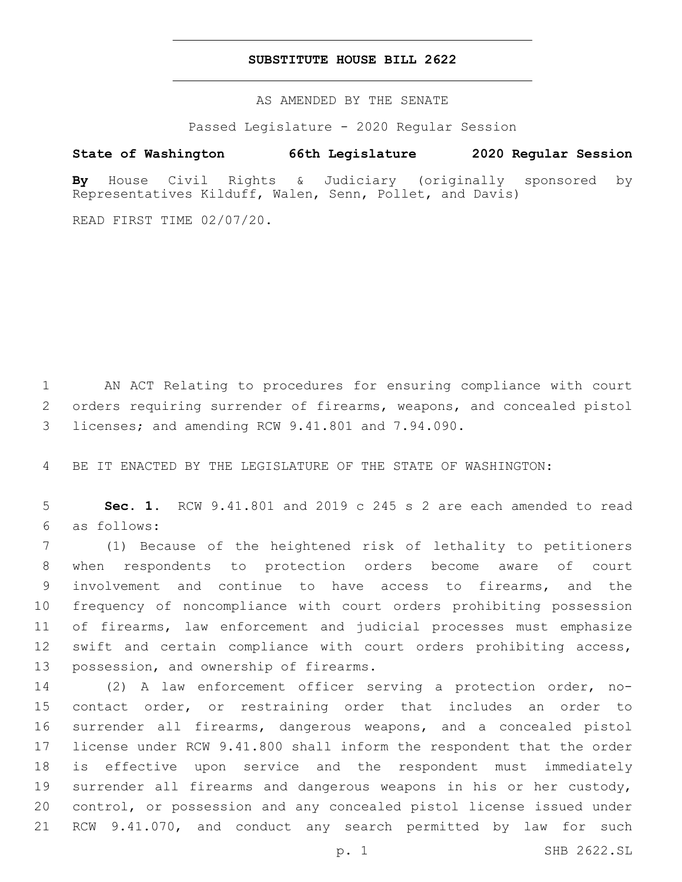## **SUBSTITUTE HOUSE BILL 2622**

AS AMENDED BY THE SENATE

Passed Legislature - 2020 Regular Session

# **State of Washington 66th Legislature 2020 Regular Session**

**By** House Civil Rights & Judiciary (originally sponsored by Representatives Kilduff, Walen, Senn, Pollet, and Davis)

READ FIRST TIME 02/07/20.

 AN ACT Relating to procedures for ensuring compliance with court orders requiring surrender of firearms, weapons, and concealed pistol licenses; and amending RCW 9.41.801 and 7.94.090.3

BE IT ENACTED BY THE LEGISLATURE OF THE STATE OF WASHINGTON:

 **Sec. 1.** RCW 9.41.801 and 2019 c 245 s 2 are each amended to read as follows:6

 (1) Because of the heightened risk of lethality to petitioners when respondents to protection orders become aware of court involvement and continue to have access to firearms, and the frequency of noncompliance with court orders prohibiting possession of firearms, law enforcement and judicial processes must emphasize swift and certain compliance with court orders prohibiting access, 13 possession, and ownership of firearms.

 (2) A law enforcement officer serving a protection order, no- contact order, or restraining order that includes an order to surrender all firearms, dangerous weapons, and a concealed pistol license under RCW 9.41.800 shall inform the respondent that the order is effective upon service and the respondent must immediately surrender all firearms and dangerous weapons in his or her custody, control, or possession and any concealed pistol license issued under RCW 9.41.070, and conduct any search permitted by law for such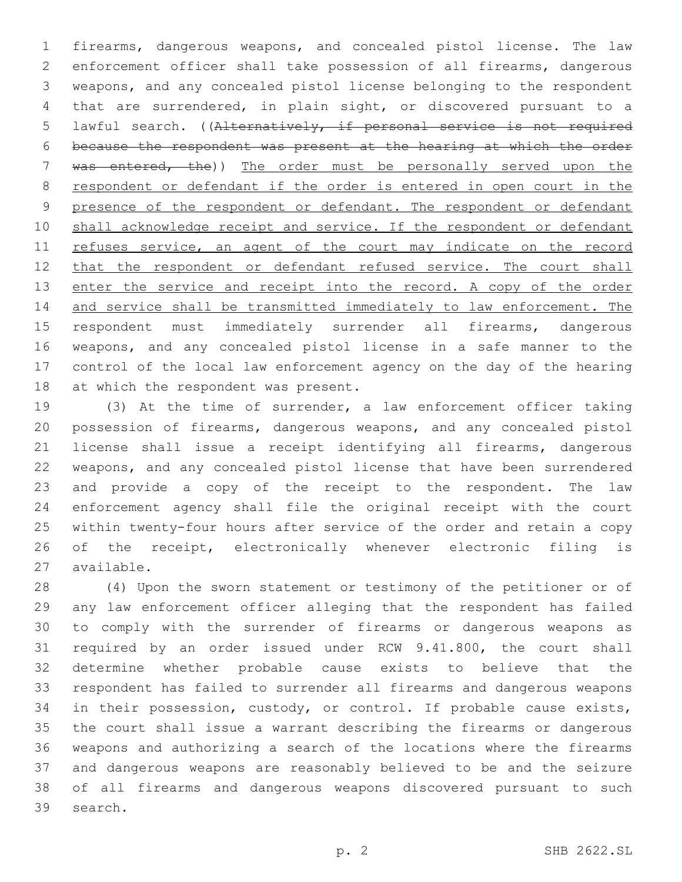firearms, dangerous weapons, and concealed pistol license. The law enforcement officer shall take possession of all firearms, dangerous weapons, and any concealed pistol license belonging to the respondent that are surrendered, in plain sight, or discovered pursuant to a lawful search. ((Alternatively, if personal service is not required because the respondent was present at the hearing at which the order 7 was entered, the)) The order must be personally served upon the respondent or defendant if the order is entered in open court in the 9 presence of the respondent or defendant. The respondent or defendant 10 shall acknowledge receipt and service. If the respondent or defendant 11 refuses service, an agent of the court may indicate on the record 12 that the respondent or defendant refused service. The court shall 13 enter the service and receipt into the record. A copy of the order and service shall be transmitted immediately to law enforcement. The respondent must immediately surrender all firearms, dangerous weapons, and any concealed pistol license in a safe manner to the control of the local law enforcement agency on the day of the hearing 18 at which the respondent was present.

 (3) At the time of surrender, a law enforcement officer taking possession of firearms, dangerous weapons, and any concealed pistol license shall issue a receipt identifying all firearms, dangerous weapons, and any concealed pistol license that have been surrendered and provide a copy of the receipt to the respondent. The law enforcement agency shall file the original receipt with the court within twenty-four hours after service of the order and retain a copy of the receipt, electronically whenever electronic filing is 27 available.

 (4) Upon the sworn statement or testimony of the petitioner or of any law enforcement officer alleging that the respondent has failed to comply with the surrender of firearms or dangerous weapons as required by an order issued under RCW 9.41.800, the court shall determine whether probable cause exists to believe that the respondent has failed to surrender all firearms and dangerous weapons in their possession, custody, or control. If probable cause exists, the court shall issue a warrant describing the firearms or dangerous weapons and authorizing a search of the locations where the firearms and dangerous weapons are reasonably believed to be and the seizure of all firearms and dangerous weapons discovered pursuant to such 39 search.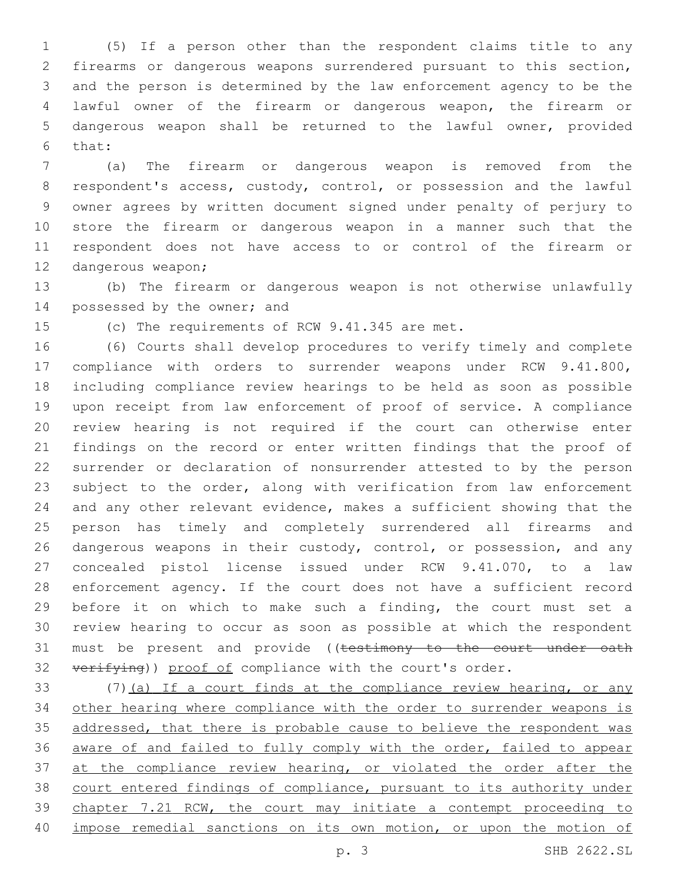(5) If a person other than the respondent claims title to any firearms or dangerous weapons surrendered pursuant to this section, and the person is determined by the law enforcement agency to be the lawful owner of the firearm or dangerous weapon, the firearm or dangerous weapon shall be returned to the lawful owner, provided 6 that:

 (a) The firearm or dangerous weapon is removed from the respondent's access, custody, control, or possession and the lawful owner agrees by written document signed under penalty of perjury to store the firearm or dangerous weapon in a manner such that the respondent does not have access to or control of the firearm or 12 dangerous weapon;

 (b) The firearm or dangerous weapon is not otherwise unlawfully 14 possessed by the owner; and

15 (c) The requirements of RCW 9.41.345 are met.

 (6) Courts shall develop procedures to verify timely and complete compliance with orders to surrender weapons under RCW 9.41.800, including compliance review hearings to be held as soon as possible upon receipt from law enforcement of proof of service. A compliance review hearing is not required if the court can otherwise enter findings on the record or enter written findings that the proof of surrender or declaration of nonsurrender attested to by the person subject to the order, along with verification from law enforcement and any other relevant evidence, makes a sufficient showing that the person has timely and completely surrendered all firearms and 26 dangerous weapons in their custody, control, or possession, and any concealed pistol license issued under RCW 9.41.070, to a law enforcement agency. If the court does not have a sufficient record before it on which to make such a finding, the court must set a review hearing to occur as soon as possible at which the respondent 31 must be present and provide ((testimony to the court under oath 32 verifying)) proof of compliance with the court's order.

 (7)(a) If a court finds at the compliance review hearing, or any other hearing where compliance with the order to surrender weapons is 35 addressed, that there is probable cause to believe the respondent was aware of and failed to fully comply with the order, failed to appear 37 at the compliance review hearing, or violated the order after the court entered findings of compliance, pursuant to its authority under chapter 7.21 RCW, the court may initiate a contempt proceeding to impose remedial sanctions on its own motion, or upon the motion of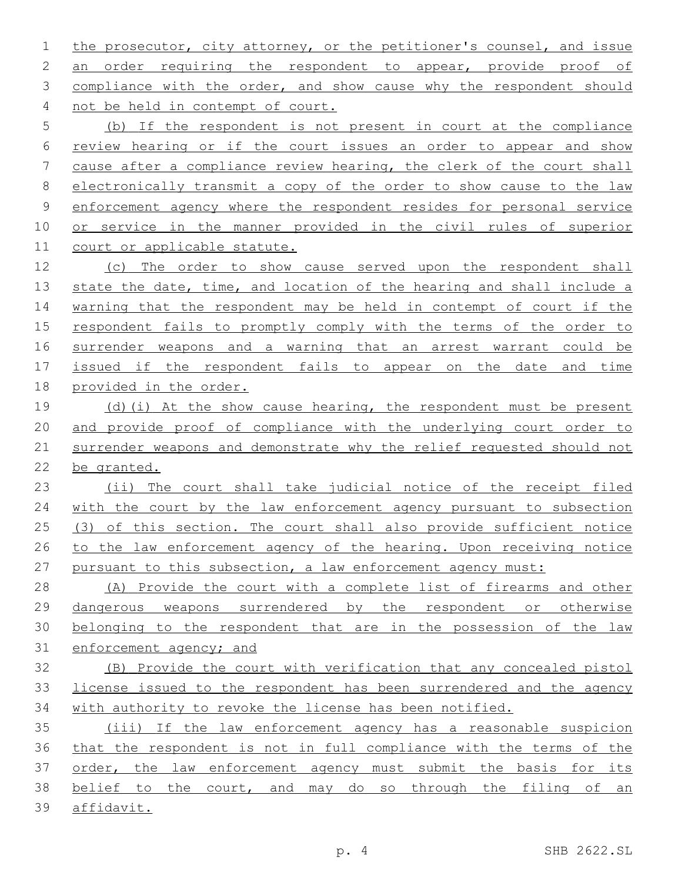the prosecutor, city attorney, or the petitioner's counsel, and issue 2 an order requiring the respondent to appear, provide proof of 3 compliance with the order, and show cause why the respondent should 4 not be held in contempt of court.

 (b) If the respondent is not present in court at the compliance review hearing or if the court issues an order to appear and show cause after a compliance review hearing, the clerk of the court shall electronically transmit a copy of the order to show cause to the law enforcement agency where the respondent resides for personal service or service in the manner provided in the civil rules of superior court or applicable statute.

 (c) The order to show cause served upon the respondent shall 13 state the date, time, and location of the hearing and shall include a warning that the respondent may be held in contempt of court if the respondent fails to promptly comply with the terms of the order to surrender weapons and a warning that an arrest warrant could be 17 issued if the respondent fails to appear on the date and time provided in the order.

 (d)(i) At the show cause hearing, the respondent must be present and provide proof of compliance with the underlying court order to surrender weapons and demonstrate why the relief requested should not be granted.

 (ii) The court shall take judicial notice of the receipt filed with the court by the law enforcement agency pursuant to subsection (3) of this section. The court shall also provide sufficient notice to the law enforcement agency of the hearing. Upon receiving notice pursuant to this subsection, a law enforcement agency must:

 (A) Provide the court with a complete list of firearms and other dangerous weapons surrendered by the respondent or otherwise belonging to the respondent that are in the possession of the law enforcement agency; and

 (B) Provide the court with verification that any concealed pistol license issued to the respondent has been surrendered and the agency with authority to revoke the license has been notified.

 (iii) If the law enforcement agency has a reasonable suspicion that the respondent is not in full compliance with the terms of the order, the law enforcement agency must submit the basis for its belief to the court, and may do so through the filing of an affidavit.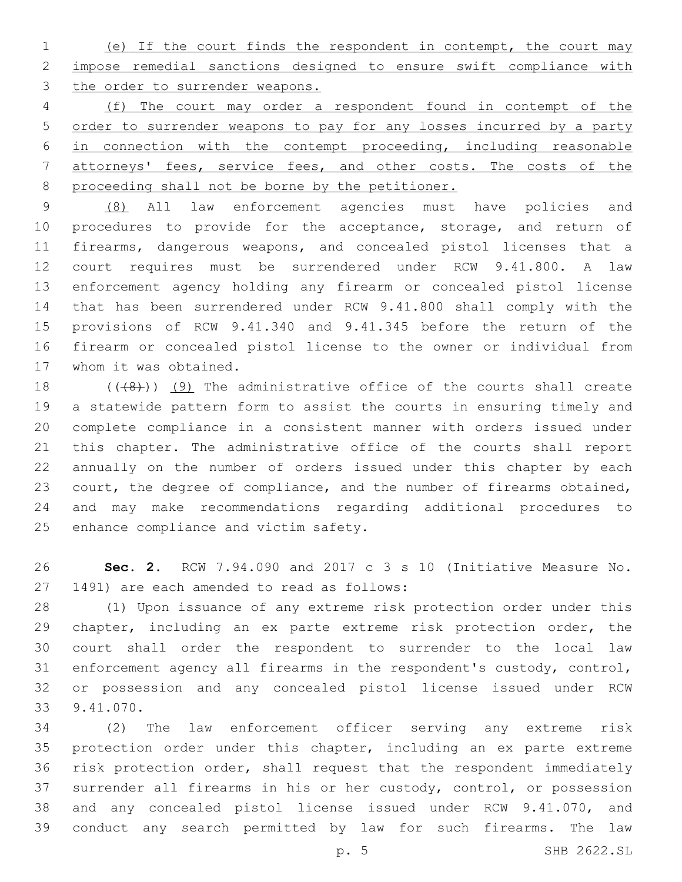(e) If the court finds the respondent in contempt, the court may impose remedial sanctions designed to ensure swift compliance with the order to surrender weapons.

 (f) The court may order a respondent found in contempt of the order to surrender weapons to pay for any losses incurred by a party in connection with the contempt proceeding, including reasonable attorneys' fees, service fees, and other costs. The costs of the proceeding shall not be borne by the petitioner.

 (8) All law enforcement agencies must have policies and 10 procedures to provide for the acceptance, storage, and return of firearms, dangerous weapons, and concealed pistol licenses that a court requires must be surrendered under RCW 9.41.800. A law enforcement agency holding any firearm or concealed pistol license that has been surrendered under RCW 9.41.800 shall comply with the provisions of RCW 9.41.340 and 9.41.345 before the return of the firearm or concealed pistol license to the owner or individual from 17 whom it was obtained.

 $((48))$  (9) The administrative office of the courts shall create a statewide pattern form to assist the courts in ensuring timely and complete compliance in a consistent manner with orders issued under this chapter. The administrative office of the courts shall report annually on the number of orders issued under this chapter by each court, the degree of compliance, and the number of firearms obtained, and may make recommendations regarding additional procedures to 25 enhance compliance and victim safety.

 **Sec. 2.** RCW 7.94.090 and 2017 c 3 s 10 (Initiative Measure No. 27 1491) are each amended to read as follows:

 (1) Upon issuance of any extreme risk protection order under this chapter, including an ex parte extreme risk protection order, the court shall order the respondent to surrender to the local law enforcement agency all firearms in the respondent's custody, control, or possession and any concealed pistol license issued under RCW 9.41.070.33

 (2) The law enforcement officer serving any extreme risk protection order under this chapter, including an ex parte extreme risk protection order, shall request that the respondent immediately surrender all firearms in his or her custody, control, or possession and any concealed pistol license issued under RCW 9.41.070, and conduct any search permitted by law for such firearms. The law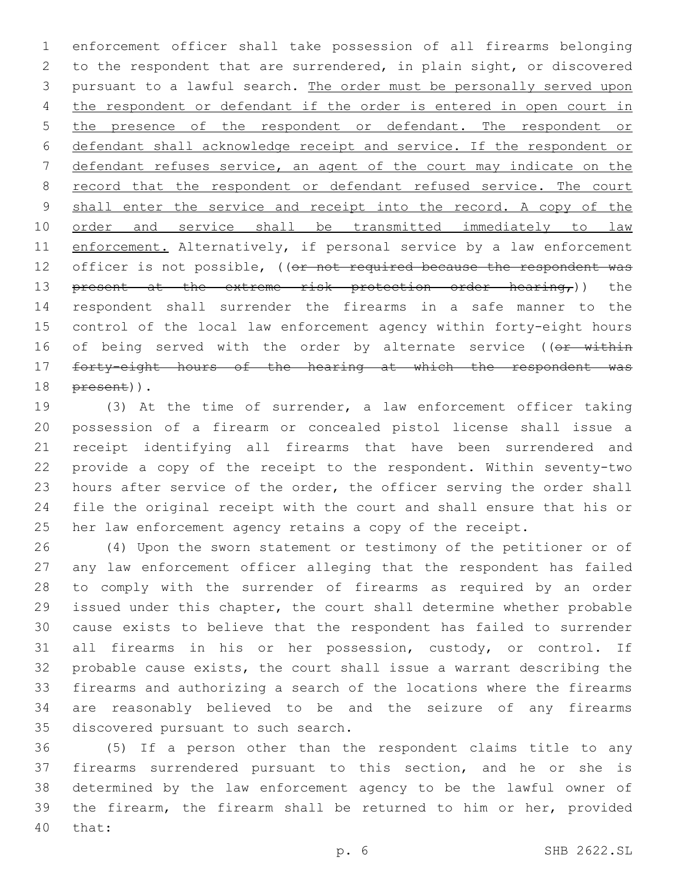enforcement officer shall take possession of all firearms belonging to the respondent that are surrendered, in plain sight, or discovered pursuant to a lawful search. The order must be personally served upon the respondent or defendant if the order is entered in open court in the presence of the respondent or defendant. The respondent or defendant shall acknowledge receipt and service. If the respondent or defendant refuses service, an agent of the court may indicate on the 8 record that the respondent or defendant refused service. The court 9 shall enter the service and receipt into the record. A copy of the order and service shall be transmitted immediately to law 11 enforcement. Alternatively, if personal service by a law enforcement 12 officer is not possible, ((or not required because the respondent was 13 present at the extreme risk protection order hearing,)) the respondent shall surrender the firearms in a safe manner to the control of the local law enforcement agency within forty-eight hours 16 of being served with the order by alternate service ((or within forty-eight hours of the hearing at which the respondent was 18 <del>present</del>)).

 (3) At the time of surrender, a law enforcement officer taking possession of a firearm or concealed pistol license shall issue a receipt identifying all firearms that have been surrendered and provide a copy of the receipt to the respondent. Within seventy-two hours after service of the order, the officer serving the order shall file the original receipt with the court and shall ensure that his or her law enforcement agency retains a copy of the receipt.

 (4) Upon the sworn statement or testimony of the petitioner or of any law enforcement officer alleging that the respondent has failed to comply with the surrender of firearms as required by an order issued under this chapter, the court shall determine whether probable cause exists to believe that the respondent has failed to surrender all firearms in his or her possession, custody, or control. If probable cause exists, the court shall issue a warrant describing the firearms and authorizing a search of the locations where the firearms are reasonably believed to be and the seizure of any firearms 35 discovered pursuant to such search.

 (5) If a person other than the respondent claims title to any firearms surrendered pursuant to this section, and he or she is determined by the law enforcement agency to be the lawful owner of the firearm, the firearm shall be returned to him or her, provided 40 that: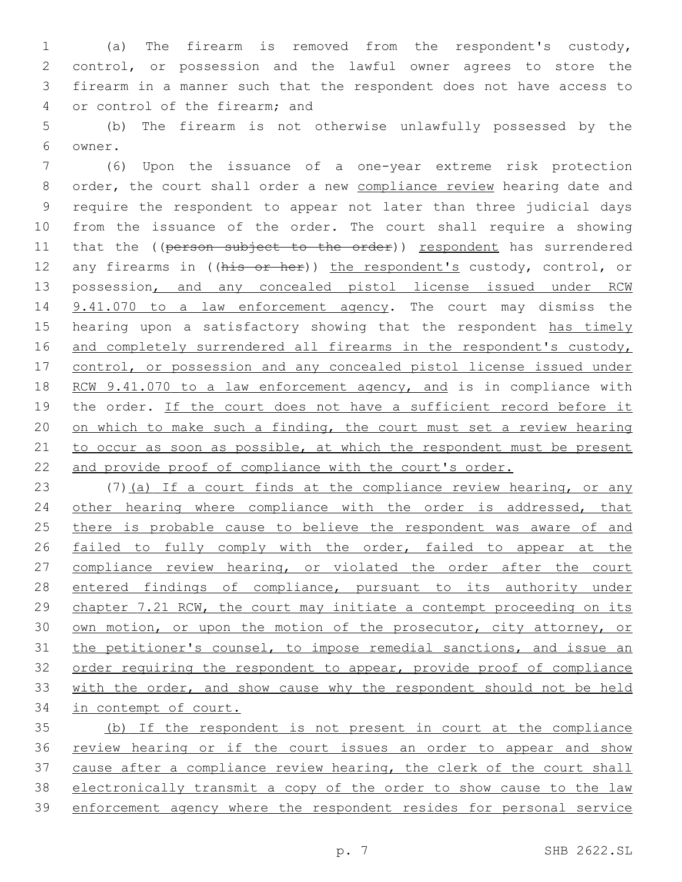(a) The firearm is removed from the respondent's custody, control, or possession and the lawful owner agrees to store the firearm in a manner such that the respondent does not have access to 4 or control of the firearm; and

5 (b) The firearm is not otherwise unlawfully possessed by the 6 owner.

7 (6) Upon the issuance of a one-year extreme risk protection 8 order, the court shall order a new compliance review hearing date and 9 require the respondent to appear not later than three judicial days 10 from the issuance of the order. The court shall require a showing 11 that the ((person subject to the order)) respondent has surrendered 12 any firearms in ((his or her)) the respondent's custody, control, or 13 possession, and any concealed pistol license issued under RCW 14 9.41.070 to a law enforcement agency. The court may dismiss the 15 hearing upon a satisfactory showing that the respondent has timely 16 and completely surrendered all firearms in the respondent's custody, 17 control, or possession and any concealed pistol license issued under 18 RCW 9.41.070 to a law enforcement agency, and is in compliance with 19 the order. If the court does not have a sufficient record before it 20 on which to make such a finding, the court must set a review hearing 21 to occur as soon as possible, at which the respondent must be present 22 and provide proof of compliance with the court's order.

23 (7)(a) If a court finds at the compliance review hearing, or any 24 other hearing where compliance with the order is addressed, that 25 there is probable cause to believe the respondent was aware of and 26 failed to fully comply with the order, failed to appear at the 27 compliance review hearing, or violated the order after the court 28 entered findings of compliance, pursuant to its authority under 29 chapter 7.21 RCW, the court may initiate a contempt proceeding on its 30 own motion, or upon the motion of the prosecutor, city attorney, or 31 the petitioner's counsel, to impose remedial sanctions, and issue an 32 order requiring the respondent to appear, provide proof of compliance 33 with the order, and show cause why the respondent should not be held 34 in contempt of court.

 (b) If the respondent is not present in court at the compliance review hearing or if the court issues an order to appear and show cause after a compliance review hearing, the clerk of the court shall electronically transmit a copy of the order to show cause to the law enforcement agency where the respondent resides for personal service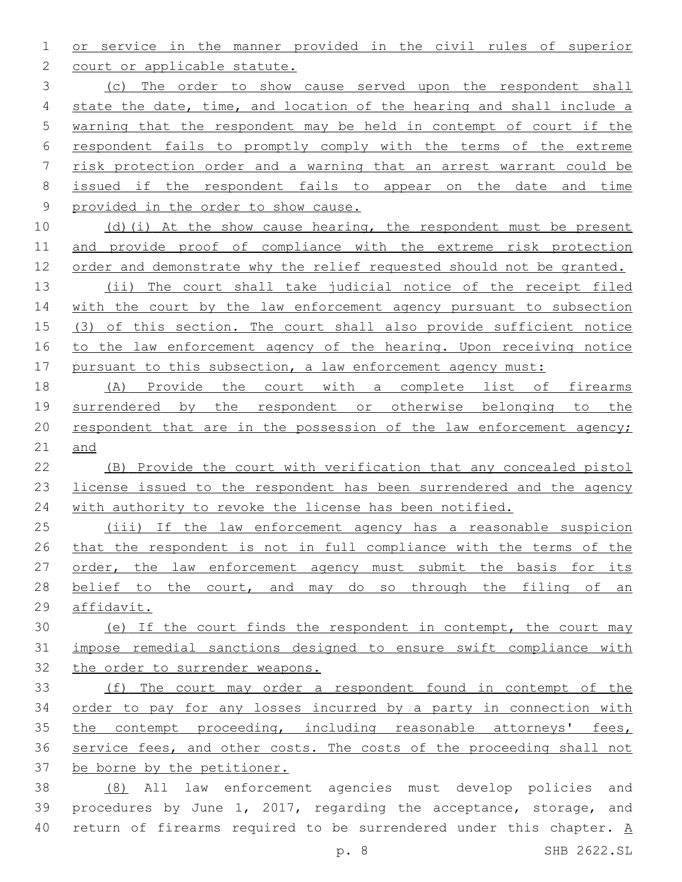or service in the manner provided in the civil rules of superior 2 court or applicable statute.

 (c) The order to show cause served upon the respondent shall 4 state the date, time, and location of the hearing and shall include a warning that the respondent may be held in contempt of court if the respondent fails to promptly comply with the terms of the extreme risk protection order and a warning that an arrest warrant could be issued if the respondent fails to appear on the date and time provided in the order to show cause.

 (d)(i) At the show cause hearing, the respondent must be present and provide proof of compliance with the extreme risk protection 12 order and demonstrate why the relief requested should not be granted.

 (ii) The court shall take judicial notice of the receipt filed 14 with the court by the law enforcement agency pursuant to subsection 15 (3) of this section. The court shall also provide sufficient notice 16 to the law enforcement agency of the hearing. Upon receiving notice 17 pursuant to this subsection, a law enforcement agency must:

 (A) Provide the court with a complete list of firearms surrendered by the respondent or otherwise belonging to the respondent that are in the possession of the law enforcement agency; and

 (B) Provide the court with verification that any concealed pistol license issued to the respondent has been surrendered and the agency with authority to revoke the license has been notified.

 (iii) If the law enforcement agency has a reasonable suspicion that the respondent is not in full compliance with the terms of the order, the law enforcement agency must submit the basis for its 28 belief to the court, and may do so through the filing of an affidavit.

 (e) If the court finds the respondent in contempt, the court may impose remedial sanctions designed to ensure swift compliance with the order to surrender weapons.

 (f) The court may order a respondent found in contempt of the order to pay for any losses incurred by a party in connection with 35 the contempt proceeding, including reasonable attorneys' fees, service fees, and other costs. The costs of the proceeding shall not be borne by the petitioner.

 (8) All law enforcement agencies must develop policies and procedures by June 1, 2017, regarding the acceptance, storage, and return of firearms required to be surrendered under this chapter. A